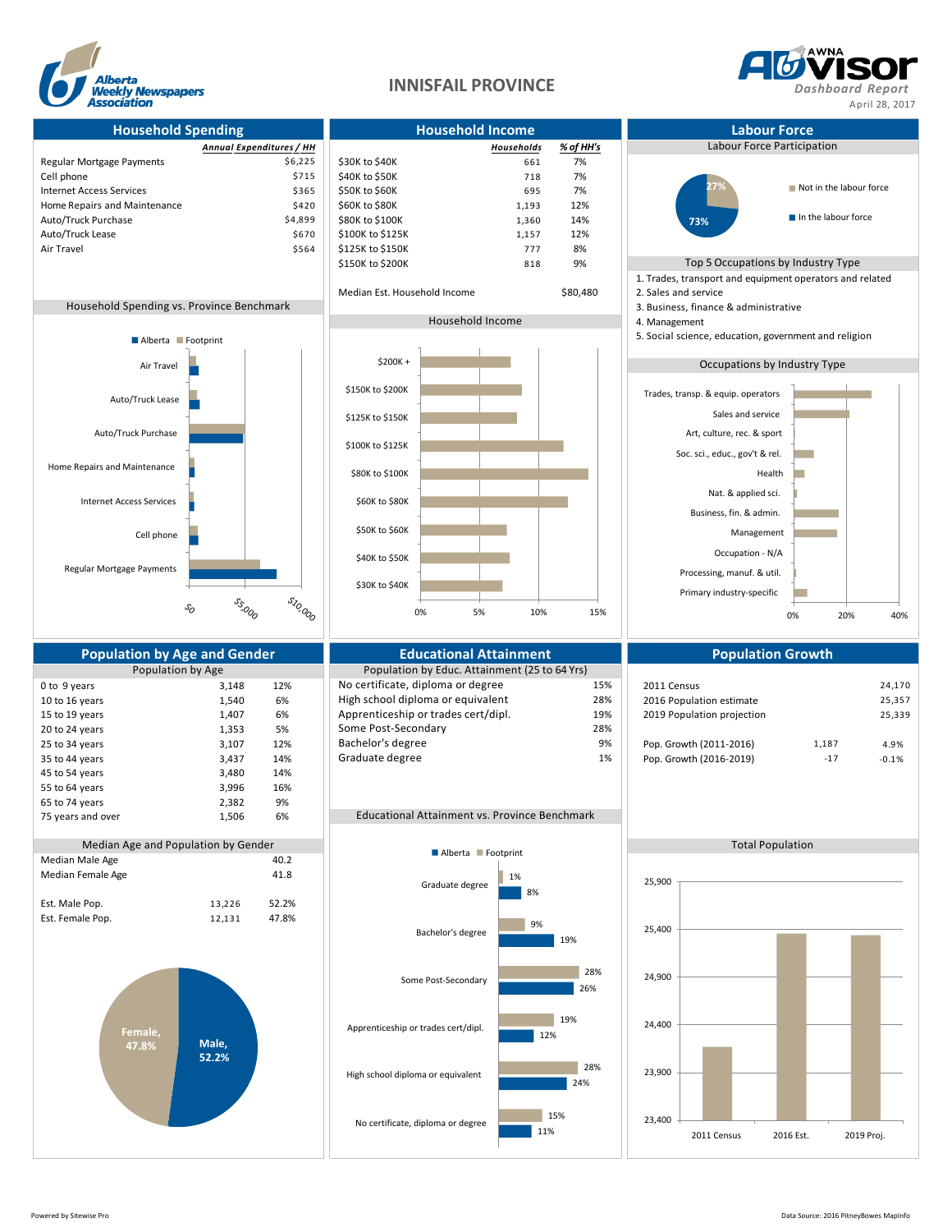



**Household Spending Household Income Labour Force** *Annual Expenditures / HH Households % of HH's* Labour Force Participation Regular Mortgage Payments **1998 1998 30K** to \$40K **661 1998 661 7%** Cell phone  $$715$   $$40K$  to  $$50K$   $$718$   $7\%$ Internet Access Services<br>
Home Repairs and Maintenance<br>  $$420$  \$60K to \$80K 695 60K 695 695 1,193 12% Home Repairs and Maintenance Auto/Truck Purchase 1.360 14% \$4,899 \$80K to \$100K 1,360 14% 1,360 14% auto/Truck Lease 1,489 \$570 \$100K to \$125K Auto/Truck Lease 1,157 12% **5670** \$100K to \$125K 1,157 12% Air Travel **886 822 1264 126 125 No. 2012** 5564 1225K to \$150K 777 88% \$150K to \$200K 818 9% Top 5 Occupations by Industry Type 1. Trades, transport and equipment operators and related Median Est. Household Income \$80,480 2. Sales and service Household Spending vs. Province Benchmark 3. Business, finance & administrative 3. Business, finance & administrative Household Income 4. Management 5. Social science, education, government and religion Occupations by Industry Type Regular Mortgage Payments **Population by Age and Gender Consumersity Consumersity Consumersity Population Scowth**<br>Population by Age **Population Population Population** by Educ. Attainment (25 to 64 Yrs) Population by Educ. Attainment (25 to 64 Yrs) 0 to 9 years 13,148 12% No certificate, diploma or degree 15% 2011 Census 2011 Census 24,170<br>10 to 16 years 1540 6% High school diploma or equivalent 28% 2016 Population estimate 25.357 10 to 16 years 1,540 6% High school diploma or equivalent 28% 2016 Population estimate 25,357 15 to 19 years 1,407 6% Apprenticeship or trades cert/dipl. 19% 2019 Population projection 25,339<br>20 to 24 years 1353 5% Some Post-Secondary 28% 28% 28% 20 to 24 years 1,353 5% Some Post-Secondary 28% 28% 25 to 34 years 28% 3,107 12% Bachelor's degree 25 to 34 years 25 to 34 years 3,107 12% Bachelor's degree 9 9% 9% Pop. Growth (2011-2016) 1,187 4.9% 35 to 44 years 3,437 14% Graduate degree 1% 1% Pop. Growth (2016-2019) -17 -0.1% 45 to 54 years 3,480 14% 55 to 64 years 3,996 16% 65 to 74 years 2,382 9% 75 years and over 1,506 6% Educational Attainment vs. Province Benchmark Median Age and Population by Gender Total Population and Total Population Total Population and Total Population<br>
Total Population and the contract of the contract of the contract of the contract of the contract of the cont Median Female Age 41.8 Est. Male Pop. 13,226 52.2% Est. Female Pop. 12,131 47.8% Cell phone Internet Access Services Home Repairs and Maintenance Auto/Truck Purchase Auto/Truck Lease Air Travel \$10,000 **55,000**  $\mathcal{S}_O$ Alberta **Footprint Male, 52.2% Female, 47.8%** 2011 Census 2016 Est. 2019 Proj. 23,400 23,900 24,400 24,900 25,400 25,900 11% 24% 12% 26% 19% 8% 15% 28% 19% 28% 9% 1% No certificate, diploma or degree High school diploma or equivalent Apprenticeship or trades cert/dipl. Some Post-Secondary Bachelor's degree Graduate degree **Alberta Footprint** Primary industry-specific Processing, manuf. & util. Occupation - N/A Management Business, fin. & admin. Nat. & applied sci. Health Soc. sci., educ., gov't & rel. Art, culture, rec. & sport Sales and service Trades, transp. & equip. operators 0% 20% 40% **27% 73%** Not in the labour force In the labour force \$30K to \$40K \$40K to \$50K \$50K to \$60K \$60K to \$80K \$80K to \$100K \$100K to \$125K \$125K to \$150K \$150K to \$200K \$200K + 0% 5% 10% 15%

Median Male Age